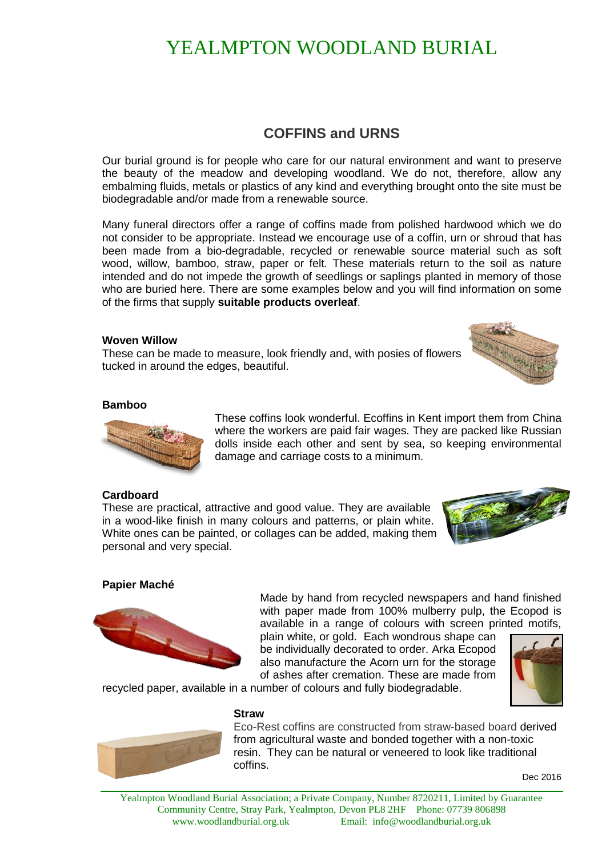# YEALMPTON WOODLAND BURIAL

### **COFFINS and URNS**

Our burial ground is for people who care for our natural environment and want to preserve the beauty of the meadow and developing woodland. We do not, therefore, allow any embalming fluids, metals or plastics of any kind and everything brought onto the site must be biodegradable and/or made from a renewable source.

Many funeral directors offer a range of coffins made from polished hardwood which we do not consider to be appropriate. Instead we encourage use of a coffin, urn or shroud that has been made from a bio-degradable, recycled or renewable source material such as soft wood, willow, bamboo, straw, paper or felt. These materials return to the soil as nature intended and do not impede the growth of seedlings or saplings planted in memory of those who are buried here. There are some examples below and you will find information on some of the firms that supply **suitable products overleaf**.

#### **Woven Willow**

These can be made to measure, look friendly and, with posies of flowers tucked in around the edges, beautiful.



#### **Bamboo**



These coffins look wonderful. Ecoffins in Kent import them from China where the workers are paid fair wages. They are packed like Russian dolls inside each other and sent by sea, so keeping environmental damage and carriage costs to a minimum.

#### **Cardboard**

These are practical, attractive and good value. They are available in a wood-like finish in many colours and patterns, or plain white. White ones can be painted, or collages can be added, making them personal and very special.



#### **Papier Maché**



Made by hand from recycled newspapers and hand finished with paper made from 100% mulberry pulp, the Ecopod is available in a range of colours with screen printed motifs,

plain white, or [gold.](http://www.ecopod.co.uk/?page_id=91) Each wondrous shape can be individually decorated to order. Arka Ecopod also manufacture the [Acorn urn](http://www.ecopod.co.uk/arka-acorn-urn-2/) for the storage of ashes after cremation. These are made from



recycled paper, available in a number of colours and fully biodegradable.

**Straw**



Eco-Rest coffins are constructed from straw-based board derived from agricultural waste and bonded together with a non-toxic resin. They can be natural or veneered to look like traditional coffins.

Dec 2016